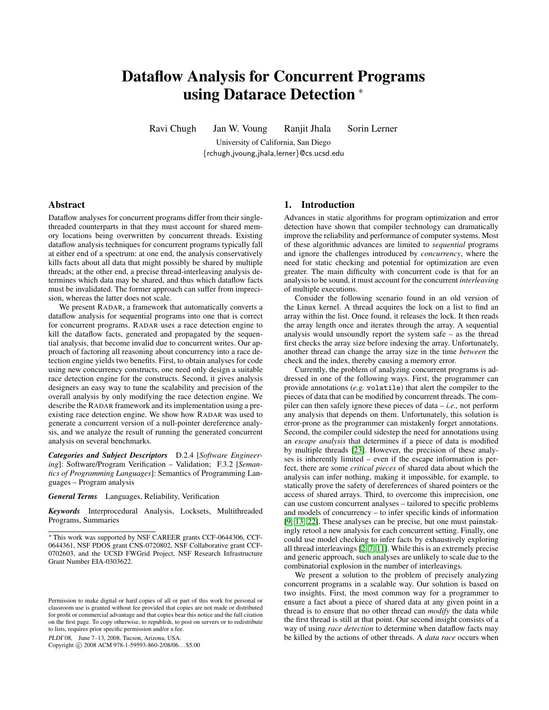# Dataflow Analysis for Concurrent Programs using Datarace Detection <sup>∗</sup>

Ravi Chugh Jan W. Voung Ranjit Jhala Sorin Lerner

University of California, San Diego {rchugh,jvoung,jhala,lerner}@cs.ucsd.edu

# Abstract

Dataflow analyses for concurrent programs differ from their singlethreaded counterparts in that they must account for shared memory locations being overwritten by concurrent threads. Existing dataflow analysis techniques for concurrent programs typically fall at either end of a spectrum: at one end, the analysis conservatively kills facts about all data that might possibly be shared by multiple threads; at the other end, a precise thread-interleaving analysis determines which data may be shared, and thus which dataflow facts must be invalidated. The former approach can suffer from imprecision, whereas the latter does not scale.

We present RADAR, a framework that automatically converts a dataflow analysis for sequential programs into one that is correct for concurrent programs. RADAR uses a race detection engine to kill the dataflow facts, generated and propagated by the sequential analysis, that become invalid due to concurrent writes. Our approach of factoring all reasoning about concurrency into a race detection engine yields two benefits. First, to obtain analyses for code using new concurrency constructs, one need only design a suitable race detection engine for the constructs. Second, it gives analysis designers an easy way to tune the scalability and precision of the overall analysis by only modifying the race detection engine. We describe the RADAR framework and its implementation using a preexisting race detection engine. We show how RADAR was used to generate a concurrent version of a null-pointer dereference analysis, and we analyze the result of running the generated concurrent analysis on several benchmarks.

*Categories and Subject Descriptors* D.2.4 [*Software Engineering*]: Software/Program Verification – Validation; F.3.2 [*Semantics of Programming Languages*]: Semantics of Programming Languages – Program analysis

## *General Terms* Languages, Reliability, Verification

*Keywords* Interprocedural Analysis, Locksets, Multithreaded Programs, Summaries

PLDI'08, June 7–13, 2008, Tucson, Arizona, USA.

Copyright © 2008 ACM 978-1-59593-860-2/08/06... \$5.00

## 1. Introduction

Advances in static algorithms for program optimization and error detection have shown that compiler technology can dramatically improve the reliability and performance of computer systems. Most of these algorithmic advances are limited to *sequential* programs and ignore the challenges introduced by *concurrency*, where the need for static checking and potential for optimization are even greater. The main difficulty with concurrent code is that for an analysis to be sound, it must account for the concurrent *interleaving* of multiple executions.

Consider the following scenario found in an old version of the Linux kernel. A thread acquires the lock on a list to find an array within the list. Once found, it releases the lock. It then reads the array length once and iterates through the array. A sequential analysis would unsoundly report the system safe – as the thread first checks the array size before indexing the array. Unfortunately, another thread can change the array size in the time *between* the check and the index, thereby causing a memory error.

Currently, the problem of analyzing concurrent programs is addressed in one of the following ways. First, the programmer can provide annotations (*e.g.* volatile) that alert the compiler to the pieces of data that can be modified by concurrent threads. The compiler can then safely ignore these pieces of data – *i.e.,* not perform any analysis that depends on them. Unfortunately, this solution is error-prone as the programmer can mistakenly forget annotations. Second, the compiler could sidestep the need for annotations using an *escape analysis* that determines if a piece of data is modified by multiple threads [\[23\]](#page-10-0). However, the precision of these analyses is inherently limited – even if the escape information is perfect, there are some *critical pieces* of shared data about which the analysis can infer nothing, making it impossible, for example, to statically prove the safety of dereferences of shared pointers or the access of shared arrays. Third, to overcome this imprecision, one can use custom concurrent analyses – tailored to specific problems and models of concurrency – to infer specific kinds of information [\[9,](#page-10-1) [13,](#page-10-2) [22\]](#page-10-3). These analyses can be precise, but one must painstakingly retool a new analysis for each concurrent setting. Finally, one could use model checking to infer facts by exhaustively exploring all thread interleavings [\[2,](#page-10-4) [7,](#page-10-5) [11\]](#page-10-6). While this is an extremely precise and generic approach, such analyses are unlikely to scale due to the combinatorial explosion in the number of interleavings.

We present a solution to the problem of precisely analyzing concurrent programs in a scalable way. Our solution is based on two insights. First, the most common way for a programmer to ensure a fact about a piece of shared data at any given point in a thread is to ensure that no other thread can *modify* the data while the first thread is still at that point. Our second insight consists of a way of using *race detection* to determine when dataflow facts may be killed by the actions of other threads. A *data race* occurs when

<sup>∗</sup> This work was supported by NSF CAREER grants CCF-0644306, CCF-0644361, NSF PDOS grant CNS-0720802, NSF Collaborative grant CCF-0702603, and the UCSD FWGrid Project, NSF Research Infrastructure Grant Number EIA-0303622.

Permission to make digital or hard copies of all or part of this work for personal or classroom use is granted without fee provided that copies are not made or distributed for profit or commercial advantage and that copies bear this notice and the full citation on the first page. To copy otherwise, to republish, to post on servers or to redistribute to lists, requires prior specific permission and/or a fee.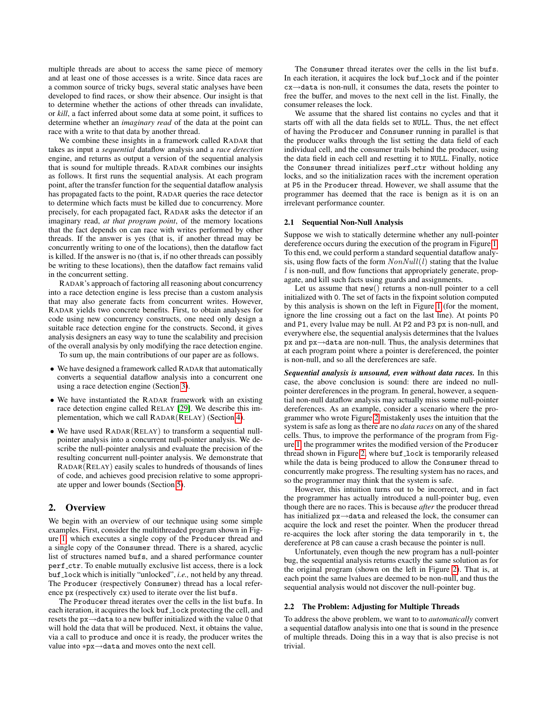multiple threads are about to access the same piece of memory and at least one of those accesses is a write. Since data races are a common source of tricky bugs, several static analyses have been developed to find races, or show their absence. Our insight is that to determine whether the actions of other threads can invalidate, or *kill*, a fact inferred about some data at some point, it suffices to determine whether an *imaginary read* of the data at the point can race with a write to that data by another thread.

We combine these insights in a framework called RADAR that takes as input a *sequential* dataflow analysis and a *race detection* engine, and returns as output a version of the sequential analysis that is sound for multiple threads. RADAR combines our insights as follows. It first runs the sequential analysis. At each program point, after the transfer function for the sequential dataflow analysis has propagated facts to the point, RADAR queries the race detector to determine which facts must be killed due to concurrency. More precisely, for each propagated fact, RADAR asks the detector if an imaginary read, *at that program point*, of the memory locations that the fact depends on can race with writes performed by other threads. If the answer is yes (that is, if another thread may be concurrently writing to one of the locations), then the dataflow fact is killed. If the answer is no (that is, if no other threads can possibly be writing to these locations), then the dataflow fact remains valid in the concurrent setting.

RADAR's approach of factoring all reasoning about concurrency into a race detection engine is less precise than a custom analysis that may also generate facts from concurrent writes. However, RADAR yields two concrete benefits. First, to obtain analyses for code using new concurrency constructs, one need only design a suitable race detection engine for the constructs. Second, it gives analysis designers an easy way to tune the scalability and precision of the overall analysis by only modifying the race detection engine.

To sum up, the main contributions of our paper are as follows.

- We have designed a framework called RADAR that automatically converts a sequential dataflow analysis into a concurrent one using a race detection engine (Section [3\)](#page-3-0).
- We have instantiated the RADAR framework with an existing race detection engine called RELAY [\[29\]](#page-10-7). We describe this implementation, which we call RADAR(RELAY) (Section [4\)](#page-6-0).
- We have used RADAR(RELAY) to transform a sequential nullpointer analysis into a concurrent null-pointer analysis. We describe the null-pointer analysis and evaluate the precision of the resulting concurrent null-pointer analysis. We demonstrate that RADAR(RELAY) easily scales to hundreds of thousands of lines of code, and achieves good precision relative to some appropriate upper and lower bounds (Section [5\)](#page-7-0).

# 2. Overview

We begin with an overview of our technique using some simple examples. First, consider the multithreaded program shown in Figure [1,](#page-2-0) which executes a single copy of the Producer thread and a single copy of the Consumer thread. There is a shared, acyclic list of structures named bufs, and a shared performance counter perf\_ctr. To enable mutually exclusive list access, there is a lock buf lock which is initially "unlocked", *i.e.,* not held by any thread. The Producer (respectively Consumer) thread has a local reference px (respectively cx) used to iterate over the list bufs.

The Producer thread iterates over the cells in the list bufs. In each iteration, it acquires the lock buf lock protecting the cell, and resets the px→data to a new buffer initialized with the value 0 that will hold the data that will be produced. Next, it obtains the value, via a call to produce and once it is ready, the producer writes the value into ∗px→data and moves onto the next cell.

The Consumer thread iterates over the cells in the list bufs. In each iteration, it acquires the lock buf lock and if the pointer cx→data is non-null, it consumes the data, resets the pointer to free the buffer, and moves to the next cell in the list. Finally, the consumer releases the lock.

We assume that the shared list contains no cycles and that it starts off with all the data fields set to NULL. Thus, the net effect of having the Producer and Consumer running in parallel is that the producer walks through the list setting the data field of each individual cell, and the consumer trails behind the producer, using the data field in each cell and resetting it to NULL. Finally, notice the Consumer thread initializes perf\_ctr without holding any locks, and so the initialization races with the increment operation at P5 in the Producer thread. However, we shall assume that the programmer has deemed that the race is benign as it is on an irrelevant performance counter.

## 2.1 Sequential Non-Null Analysis

Suppose we wish to statically determine whether any null-pointer dereference occurs during the execution of the program in Figure [1.](#page-2-0) To this end, we could perform a standard sequential dataflow analysis, using flow facts of the form  $NonNull(l)$  stating that the lvalue  $l$  is non-null, and flow functions that appropriately generate, propagate, and kill such facts using guards and assignments.

Let us assume that new() returns a non-null pointer to a cell initialized with 0. The set of facts in the fixpoint solution computed by this analysis is shown on the left in Figure [1](#page-2-0) (for the moment, ignore the line crossing out a fact on the last line). At points P0 and P1, every lvalue may be null. At P2 and P3 px is non-null, and everywhere else, the sequential analysis determines that the lvalues px and px→data are non-null. Thus, the analysis determines that at each program point where a pointer is dereferenced, the pointer is non-null, and so all the dereferences are safe.

*Sequential analysis is unsound, even without data races.* In this case, the above conclusion is sound: there are indeed no nullpointer dereferences in the program. In general, however, a sequential non-null dataflow analysis may actually miss some null-pointer dereferences. As an example, consider a scenario where the programmer who wrote Figure [2](#page-2-1) mistakenly uses the intuition that the system is safe as long as there are no *data races* on any of the shared cells. Thus, to improve the performance of the program from Figure [1,](#page-2-0) the programmer writes the modified version of the Producer thread shown in Figure [2,](#page-2-1) where buf lock is temporarily released while the data is being produced to allow the Consumer thread to concurrently make progress. The resulting system has no races, and so the programmer may think that the system is safe.

However, this intuition turns out to be incorrect, and in fact the programmer has actually introduced a null-pointer bug, even though there are no races. This is because *after* the producer thread has initialized px→data and released the lock, the consumer can acquire the lock and reset the pointer. When the producer thread re-acquires the lock after storing the data temporarily in t, the dereference at P8 can cause a crash because the pointer is null.

Unfortunately, even though the new program has a null-pointer bug, the sequential analysis returns exactly the same solution as for the original program (shown on the left in Figure [2\)](#page-2-1). That is, at each point the same lvalues are deemed to be non-null, and thus the sequential analysis would not discover the null-pointer bug.

# 2.2 The Problem: Adjusting for Multiple Threads

To address the above problem, we want to to *automatically* convert a sequential dataflow analysis into one that is sound in the presence of multiple threads. Doing this in a way that is also precise is not trivial.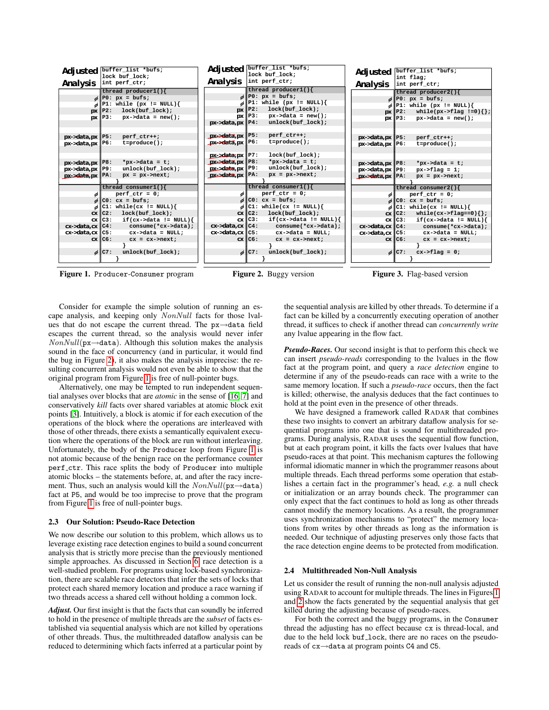

<span id="page-2-0"></span>Consider for example the simple solution of running an escape analysis, and keeping only NonNull facts for those lvalues that do not escape the current thread. The px→data field escapes the current thread, so the analysis would never infer  $NonNull(\text{px}\rightarrow \text{data})$ . Although this solution makes the analysis sound in the face of concurrency (and in particular, it would find the bug in Figure [2\)](#page-2-1), it also makes the analysis imprecise: the resulting concurrent analysis would not even be able to show that the original program from Figure [1](#page-2-0) is free of null-pointer bugs.

Alternatively, one may be tempted to run independent sequential analyses over blocks that are *atomic* in the sense of [\[16,](#page-10-8) [7\]](#page-10-5) and conservatively *kill* facts over shared variables at atomic block exit points [\[3\]](#page-10-9). Intuitively, a block is atomic if for each execution of the operations of the block where the operations are interleaved with those of other threads, there exists a semantically equivalent execution where the operations of the block are run without interleaving. Unfortunately, the body of the Producer loop from Figure [1](#page-2-0) is not atomic because of the benign race on the performance counter perf ctr. This race splits the body of Producer into multiple atomic blocks – the statements before, at, and after the racy increment. Thus, such an analysis would kill the  $NonNull(\mathbf{px} \rightarrow \mathbf{data})$ fact at P5, and would be too imprecise to prove that the program from Figure [1](#page-2-0) is free of null-pointer bugs.

## 2.3 Our Solution: Pseudo-Race Detection

We now describe our solution to this problem, which allows us to leverage existing race detection engines to build a sound concurrent analysis that is strictly more precise than the previously mentioned simple approaches. As discussed in Section [6,](#page-9-0) race detection is a well-studied problem. For programs using lock-based synchronization, there are scalable race detectors that infer the sets of locks that protect each shared memory location and produce a race warning if two threads access a shared cell without holding a common lock.

*Adjust.* Our first insight is that the facts that can soundly be inferred to hold in the presence of multiple threads are the *subset* of facts established via sequential analysis which are not killed by operations of other threads. Thus, the multithreaded dataflow analysis can be reduced to determining which facts inferred at a particular point by <span id="page-2-2"></span><span id="page-2-1"></span>the sequential analysis are killed by other threads. To determine if a fact can be killed by a concurrently executing operation of another thread, it suffices to check if another thread can *concurrently write* any lvalue appearing in the flow fact.

*Pseudo-Races.* Our second insight is that to perform this check we can insert *pseudo-reads* corresponding to the lvalues in the flow fact at the program point, and query a *race detection* engine to determine if any of the pseudo-reads can race with a write to the same memory location. If such a *pseudo-race* occurs, then the fact is killed; otherwise, the analysis deduces that the fact continues to hold at the point even in the presence of other threads.

We have designed a framework called RADAR that combines these two insights to convert an arbitrary dataflow analysis for sequential programs into one that is sound for multithreaded programs. During analysis, RADAR uses the sequential flow function, but at each program point, it kills the facts over lvalues that have pseudo-races at that point. This mechanism captures the following informal idiomatic manner in which the programmer reasons about multiple threads. Each thread performs some operation that establishes a certain fact in the programmer's head, *e.g.* a null check or initialization or an array bounds check. The programmer can only expect that the fact continues to hold as long as other threads cannot modify the memory locations. As a result, the programmer uses synchronization mechanisms to "protect" the memory locations from writes by other threads as long as the information is needed. Our technique of adjusting preserves only those facts that the race detection engine deems to be protected from modification.

## 2.4 Multithreaded Non-Null Analysis

Let us consider the result of running the non-null analysis adjusted using RADAR to account for multiple threads. The lines in Figures [1](#page-2-0) and [2](#page-2-1) show the facts generated by the sequential analysis that get killed during the adjusting because of pseudo-races.

For both the correct and the buggy programs, in the Consumer thread the adjusting has no effect because cx is thread-local, and due to the held lock buf\_lock, there are no races on the pseudoreads of cx→data at program points C4 and C5.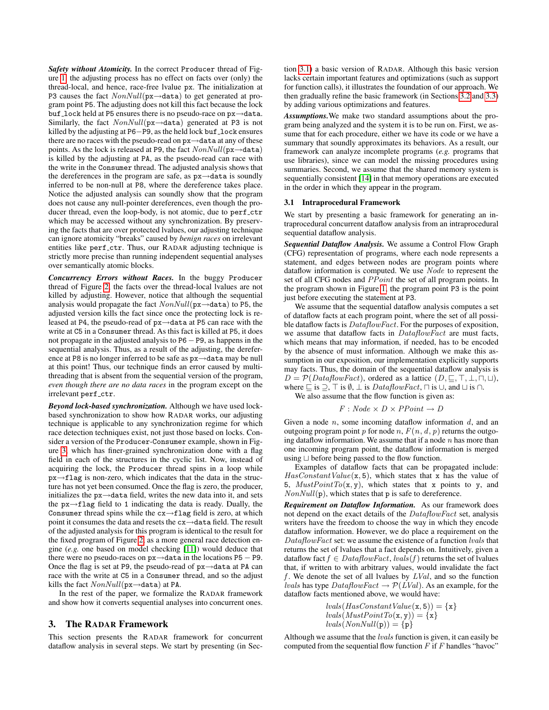*Safety without Atomicity.* In the correct Producer thread of Figure [1,](#page-2-0) the adjusting process has no effect on facts over (only) the thread-local, and hence, race-free lvalue px. The initialization at P3 causes the fact  $NonNull(\mathbf{px} \rightarrow \mathbf{data})$  to get generated at program point P5. The adjusting does not kill this fact because the lock buf lock held at P5 ensures there is no pseudo-race on px→data. Similarly, the fact  $NonNull(\mathbf{px} \rightarrow \mathbf{data})$  generated at P3 is not killed by the adjusting at P6−P9, as the held lock buf \_lock ensures there are no races with the pseudo-read on px→data at any of these points. As the lock is released at P9, the fact  $NonNull(\mathbf{px} \rightarrow \mathtt{data})$ is killed by the adjusting at PA, as the pseudo-read can race with the write in the Consumer thread. The adjusted analysis shows that the dereferences in the program are safe, as px→data is soundly inferred to be non-null at P8, where the dereference takes place. Notice the adjusted analysis can soundly show that the program does not cause any null-pointer dereferences, even though the producer thread, even the loop-body, is not atomic, due to perf\_ctr which may be accessed without any synchronization. By preserving the facts that are over protected lvalues, our adjusting technique can ignore atomicity "breaks" caused by *benign races* on irrelevant entities like perf ctr. Thus, our RADAR adjusting technique is strictly more precise than running independent sequential analyses over semantically atomic blocks.

*Concurrency Errors without Races.* In the buggy Producer thread of Figure [2,](#page-2-1) the facts over the thread-local lvalues are not killed by adjusting. However, notice that although the sequential analysis would propagate the fact  $NonNull(p \times \rightarrow data)$  to P5, the adjusted version kills the fact since once the protecting lock is released at P4, the pseudo-read of px→data at P5 can race with the write at C5 in a Consumer thread. As this fact is killed at P5, it does not propagate in the adjusted analysis to P6−P9, as happens in the sequential analysis. Thus, as a result of the adjusting, the dereference at P8 is no longer inferred to be safe as px→data may be null at this point! Thus, our technique finds an error caused by multithreading that is absent from the sequential version of the program, *even though there are no data races* in the program except on the irrelevant perf\_ctr.

*Beyond lock-based synchronization.* Although we have used lockbased synchronization to show how RADAR works, our adjusting technique is applicable to any synchronization regime for which race detection techniques exist, not just those based on locks. Consider a version of the Producer-Consumer example, shown in Figure [3,](#page-2-2) which has finer-grained synchronization done with a flag field in each of the structures in the cyclic list. Now, instead of acquiring the lock, the Producer thread spins in a loop while px→flag is non-zero, which indicates that the data in the structure has not yet been consumed. Once the flag is zero, the producer, initializes the px→data field, writes the new data into it, and sets the px→flag field to 1 indicating the data is ready. Dually, the Consumer thread spins while the cx→flag field is zero, at which point it consumes the data and resets the cx→data field. The result of the adjusted analysis for this program is identical to the result for the fixed program of Figure [2,](#page-2-1) as a more general race detection engine (*e.g.* one based on model checking [\[11\]](#page-10-6)) would deduce that there were no pseudo-races on px→data in the locations P5 − P9. Once the flag is set at P9, the pseudo-read of px→data at PA can race with the write at C5 in a Consumer thread, and so the adjust kills the fact  $NonNull(\text{px}\rightarrow \text{data})$  at PA.

In the rest of the paper, we formalize the RADAR framework and show how it converts sequential analyses into concurrent ones.

# <span id="page-3-0"></span>3. The RADAR Framework

This section presents the RADAR framework for concurrent dataflow analysis in several steps. We start by presenting (in Section [3.1\)](#page-3-1) a basic version of RADAR. Although this basic version lacks certain important features and optimizations (such as support for function calls), it illustrates the foundation of our approach. We then gradually refine the basic framework (in Sections [3.2](#page-4-0) and [3.3\)](#page-5-0) by adding various optimizations and features.

*Assumptions.*We make two standard assumptions about the program being analyzed and the system it is to be run on. First, we assume that for each procedure, either we have its code or we have a summary that soundly approximates its behaviors. As a result, our framework can analyze incomplete programs (*e.g.* programs that use libraries), since we can model the missing procedures using summaries. Second, we assume that the shared memory system is sequentially consistent [\[14\]](#page-10-10) in that memory operations are executed in the order in which they appear in the program.

# <span id="page-3-1"></span>3.1 Intraprocedural Framework

We start by presenting a basic framework for generating an intraprocedural concurrent dataflow analysis from an intraprocedural sequential dataflow analysis.

*Sequential Dataflow Analysis.* We assume a Control Flow Graph (CFG) representation of programs, where each node represents a statement, and edges between nodes are program points where dataflow information is computed. We use Node to represent the set of all CFG nodes and PPoint the set of all program points. In the program shown in Figure [1,](#page-2-0) the program point P3 is the point just before executing the statement at P3.

We assume that the sequential dataflow analysis computes a set of dataflow facts at each program point, where the set of all possible dataflow facts is DataflowFact. For the purposes of exposition, we assume that dataflow facts in DataflowFact are must facts, which means that may information, if needed, has to be encoded by the absence of must information. Although we make this assumption in our exposition, our implementation explicitly supports may facts. Thus, the domain of the sequential dataflow analysis is  $D = \mathcal{P}(DataflowFact)$ , ordered as a lattice  $(D, \subseteq, \top, \bot, \sqcap, \sqcup),$ where  $\sqsubseteq$  is  $\supset$ ,  $\top$  is  $\emptyset$ ,  $\bot$  is DataflowFact,  $\sqcap$  is  $\cup$ , and  $\sqcup$  is  $\cap$ .

We also assume that the flow function is given as:

$$
F:Node \times D \times PPoint \rightarrow D
$$

Given a node  $n$ , some incoming dataflow information  $d$ , and an outgoing program point p for node n,  $F(n, d, p)$  returns the outgoing dataflow information. We assume that if a node  $n$  has more than one incoming program point, the dataflow information is merged using  $\sqcup$  before being passed to the flow function.

Examples of dataflow facts that can be propagated include:  $HasConstantValue(x, 5)$ , which states that x has the value of 5,  $MustPointTo(x, y)$ , which states that x points to y, and  $NonNull(p)$ , which states that p is safe to dereference.

*Requirement on Dataflow Information.* As our framework does not depend on the exact details of the DataflowFact set, analysis writers have the freedom to choose the way in which they encode dataflow information. However, we do place a requirement on the DataflowFact set: we assume the existence of a function lvals that returns the set of lvalues that a fact depends on. Intuitively, given a dataflow fact  $f \in DataflowFact, \, [vals(f)]$  returns the set of lvalues that, if written to with arbitrary values, would invalidate the fact f. We denote the set of all lvalues by  $LVal$ , and so the function *lvals* has type  $DataflowFact \rightarrow \mathcal{P}(LVal)$ . As an example, for the dataflow facts mentioned above, we would have:

> $lvals(HasConstantValue(x, 5)) = {x}$  $lvals(MustPointTo(x, y)) = \{x\}$  $lvals(NonNull(p)) = \{p\}$

Although we assume that the *lvals* function is given, it can easily be computed from the sequential flow function  $F$  if  $F$  handles "havoc"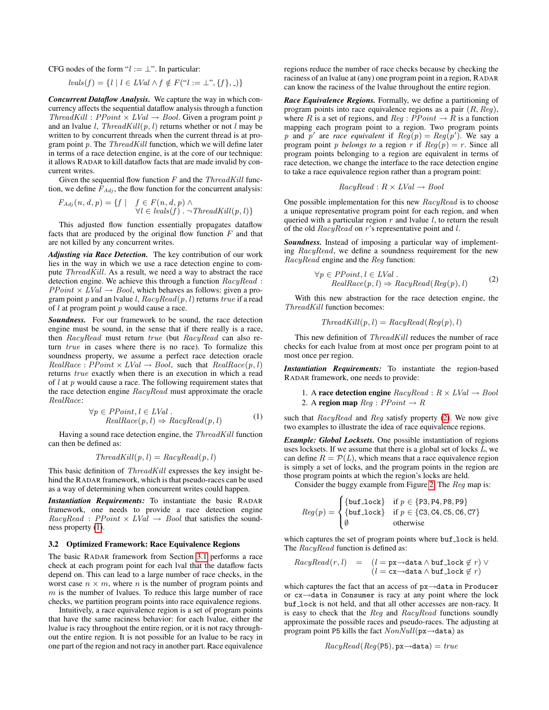CFG nodes of the form " $l := \perp$ ". In particular:

$$
lvals(f) = \{ l \mid l \in LVal \land f \notin F("l := \bot", \{f\}, \_)\}
$$

*Concurrent Dataflow Analysis.* We capture the way in which concurrency affects the sequential dataflow analysis through a function  $ThreadKill : PPoint \times LVal \rightarrow Bool$ . Given a program point p and an lvalue l,  $ThreadKill(p, l)$  returns whether or not l may be written to by concurrent threads when the current thread is at program point  $p$ . The  $ThreadKill$  function, which we will define later in terms of a race detection engine, is at the core of our technique: it allows RADAR to kill dataflow facts that are made invalid by concurrent writes.

Given the sequential flow function  $F$  and the  $ThreadKill$  function, we define  $F_{Adj}$ , the flow function for the concurrent analysis:

$$
F_{Adj}(n, d, p) = \{f \mid f \in F(n, d, p) \land \forall l \in \{ {vals}(f) . \neg \text{ThreadKill}(p, l) \}
$$

This adjusted flow function essentially propagates dataflow facts that are produced by the original flow function  $F$  and that are not killed by any concurrent writes.

*Adjusting via Race Detection.* The key contribution of our work lies in the way in which we use a race detection engine to compute  $ThreadKill$ . As a result, we need a way to abstract the race detection engine. We achieve this through a function RacyRead :  $PPoint \times LVal \rightarrow Bool$ , which behaves as follows: given a program point p and an lvalue l,  $RacyRead(p, l)$  returns true if a read of  $l$  at program point  $p$  would cause a race.

*Soundness.* For our framework to be sound, the race detection engine must be sound, in the sense that if there really is a race, then RacyRead must return true (but RacyRead can also return true in cases where there is no race). To formalize this soundness property, we assume a perfect race detection oracle  $Real Race : PPoint \times LVal \rightarrow Bool,$  such that  $Real Race(p, l)$ returns true exactly when there is an execution in which a read of  $l$  at  $p$  would cause a race. The following requirement states that the race detection engine RacyRead must approximate the oracle RealRace:

<span id="page-4-1"></span>
$$
\forall p \in PPoint, l \in LVal.
$$
  
RealRace $(p, l) \Rightarrow RacyRead(p, l)$  (1)

Having a sound race detection engine, the ThreadKill function can then be defined as:

$$
ThreadKill(p, l) = RacyRead(p, l)
$$

This basic definition of *ThreadKill* expresses the key insight behind the RADAR framework, which is that pseudo-races can be used as a way of determining when concurrent writes could happen.

*Instantiation Requirements:* To instantiate the basic RADAR framework, one needs to provide a race detection engine  $RacyRead$ :  $PPoint \times LVal \rightarrow Bool$  that satisfies the soundness property [\(1\)](#page-4-1).

## <span id="page-4-0"></span>3.2 Optimized Framework: Race Equivalence Regions

The basic RADAR framework from Section [3.1](#page-3-1) performs a race check at each program point for each lval that the dataflow facts depend on. This can lead to a large number of race checks, in the worst case  $n \times m$ , where n is the number of program points and  $m$  is the number of lvalues. To reduce this large number of race checks, we partition program points into race equivalence regions.

Intuitively, a race equivalence region is a set of program points that have the same raciness behavior: for each lvalue, either the lvalue is racy throughout the entire region, or it is not racy throughout the entire region. It is not possible for an lvalue to be racy in one part of the region and not racy in another part. Race equivalence regions reduce the number of race checks because by checking the raciness of an lvalue at (any) one program point in a region, RADAR can know the raciness of the lvalue throughout the entire region.

*Race Equivalence Regions.* Formally, we define a partitioning of program points into race equivalence regions as a pair  $(R, Reg)$ , where R is a set of regions, and  $Reg : PPoint \rightarrow R$  is a function mapping each program point to a region. Two program points p and p' are *race equivalent* if  $Reg(p) = Reg(p')$ . We say a program point *p belongs to* a region *r* if  $Req(p) = r$ . Since all program points belonging to a region are equivalent in terms of race detection, we change the interface to the race detection engine to take a race equivalence region rather than a program point:

$$
RacyRead: R \times LVal \rightarrow Bool
$$

One possible implementation for this new *RacyRead* is to choose a unique representative program point for each region, and when queried with a particular region  $r$  and lvalue  $l$ , to return the result of the old RacyRead on r's representative point and l.

*Soundness.* Instead of imposing a particular way of implementing RacyRead, we define a soundness requirement for the new RacyRead engine and the Reg function:

<span id="page-4-2"></span>
$$
\forall p \in PPoint, l \in LVal.
$$
  
RealRace(p, l)  $\Rightarrow$  RacyRead(Reg(p), l) (2)

With this new abstraction for the race detection engine, the ThreadKill function becomes:

$$
ThreadKill(p, l) = RacyRead(Reg(p), l)
$$

This new definition of *ThreadKill* reduces the number of race checks for each lvalue from at most once per program point to at most once per region.

*Instantiation Requirements:* To instantiate the region-based RADAR framework, one needs to provide:

\n- 1. A race detection engine 
$$
RayRead: R \times LVal \rightarrow Bool
$$
\n- 2. A region map  $Reg: PPoint \rightarrow R$
\n

such that RacyRead and Reg satisfy property [\(2\)](#page-4-2). We now give two examples to illustrate the idea of race equivalence regions.

*Example: Global Locksets.* One possible instantiation of regions uses locksets. If we assume that there is a global set of locks  $L$ , we can define  $R = \mathcal{P}(L)$ , which means that a race equivalence region is simply a set of locks, and the program points in the region are those program points at which the region's locks are held.

Consider the buggy example from Figure [2.](#page-2-1) The Reg map is:

$$
Reg(p) = \begin{cases} \{ \text{buf}\_lock \} & \text{if } p \in \{ \text{P3}, \text{P4}, \text{P8}, \text{P9} \} \\ \{ \text{buf}\_\text{lock} \} & \text{if } p \in \{ \text{C3}, \text{C4}, \text{C5}, \text{C6}, \text{C7} \} \\ \emptyset & \text{otherwise} \end{cases}
$$

which captures the set of program points where buf lock is held. The RacyRead function is defined as:

$$
RacyRead(r, l) = (l = px \rightarrow data \land but \_\texttt{lock} \notin r) \lor (l = cx \rightarrow data \land but \_\texttt{lock} \notin r)
$$

which captures the fact that an access of px→data in Producer or cx→data in Consumer is racy at any point where the lock buf lock is not held, and that all other accesses are non-racy. It is easy to check that the Reg and RacyRead functions soundly approximate the possible races and pseudo-races. The adjusting at program point P5 kills the fact  $NonNull(px \rightarrow data)$  as

$$
RacyRead(Reg(\text{P5}),\text{px}\rightarrow\text{data}) = true
$$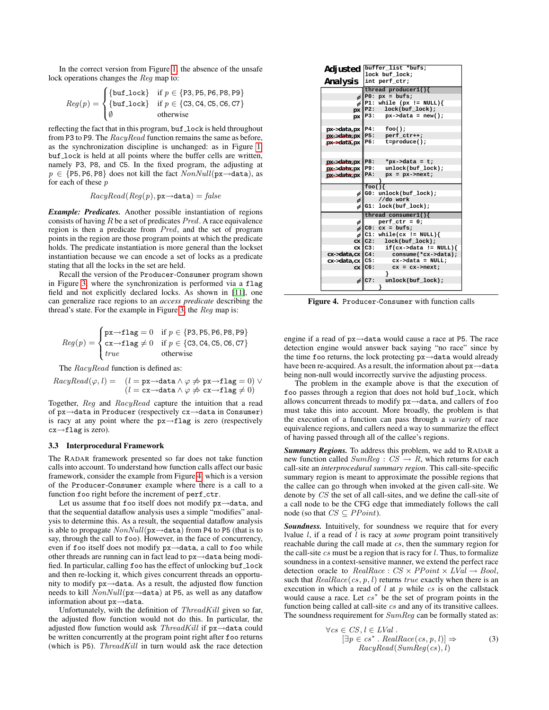In the correct version from Figure [1,](#page-2-0) the absence of the unsafe lock operations changes the Reg map to:

$$
Reg(p) = \begin{cases} \{ \text{buf\_lock} \} & \text{if } p \in \{ \text{P3}, \text{PB}, \text{PB}, \text{PB}, \text{PB} \} \\ \{ \text{buf\_lock} \} & \text{if } p \in \{ \text{C3}, \text{C4}, \text{C5}, \text{C6}, \text{C7} \} \\ \emptyset & \text{otherwise} \end{cases}
$$

reflecting the fact that in this program, buf lock is held throughout from P3 to P9. The RacyRead function remains the same as before, as the synchronization discipline is unchanged: as in Figure [1,](#page-2-0) buf lock is held at all points where the buffer cells are written, namely P3, P8, and C5. In the fixed program, the adjusting at  $p \in \{P5, P6, P8\}$  does not kill the fact  $NonNull(p \times \neg \text{data})$ , as for each of these p

$$
RacyRead(Reg(p),\texttt{px}\rightarrow \texttt{data}) = \textit{false}
$$

*Example: Predicates.* Another possible instantiation of regions consists of having  $R$  be a set of predicates  $Pred$ . A race equivalence region is then a predicate from Pred, and the set of program points in the region are those program points at which the predicate holds. The predicate instantiation is more general than the lockset instantiation because we can encode a set of locks as a predicate stating that all the locks in the set are held.

Recall the version of the Producer-Consumer program shown in Figure [3,](#page-2-2) where the synchronization is performed via a flag field and not explicitly declared locks. As shown in [\[11\]](#page-10-6), one can generalize race regions to an *access predicate* describing the thread's state. For the example in Figure [3,](#page-2-2) the Reg map is:

$$
Reg(p) = \begin{cases} \n\begin{matrix} px \rightarrow \text{flag} = 0 & \text{if } p \in \{P3, P5, P6, P8, P9\} \\ \ncx \rightarrow \text{flag} \neq 0 & \text{if } p \in \{C3, C4, C5, C6, C7\} \\ \ntrue & \text{otherwise} \n\end{matrix} \n\end{cases}
$$

The RacyRead function is defined as:

$$
RacyRead(\varphi, l) = (l = \text{px} \rightarrow \text{data} \land \varphi \nRightarrow \text{px} \rightarrow \text{flag} = 0) \lor (l = \text{cx} \rightarrow \text{data} \land \varphi \nRightarrow \text{cx} \rightarrow \text{flag} \neq 0)
$$

Together, Reg and RacyRead capture the intuition that a read of px→data in Producer (respectively cx→data in Consumer) is racy at any point where the  $px \rightarrow flag$  is zero (respectively cx→flag is zero).

#### <span id="page-5-0"></span>3.3 Interprocedural Framework

The RADAR framework presented so far does not take function calls into account. To understand how function calls affect our basic framework, consider the example from Figure [4,](#page-5-1) which is a version of the Producer-Consumer example where there is a call to a function foo right before the increment of perf\_ctr.

Let us assume that foo itself does not modify px→data, and that the sequential dataflow analysis uses a simple "modifies" analysis to determine this. As a result, the sequential dataflow analysis is able to propagate  $NonNull(\text{px}\rightarrow \text{data})$  from P4 to P5 (that is to say, through the call to foo). However, in the face of concurrency, even if foo itself does not modify px→data, a call to foo while other threads are running can in fact lead to px→data being modified. In particular, calling foo has the effect of unlocking buf\_lock and then re-locking it, which gives concurrent threads an opportunity to modify px→data. As a result, the adjusted flow function needs to kill  $NonNull(px \rightarrow data)$  at P5, as well as any dataflow information about px→data.

Unfortunately, with the definition of  $ThreadKill$  given so far, the adjusted flow function would not do this. In particular, the adjusted flow function would ask  $ThreadKill$  if  $px \rightarrow data$  could be written concurrently at the program point right after foo returns (which is  $P5$ ). ThreadKill in turn would ask the race detection



<span id="page-5-1"></span>Figure 4. Producer-Consumer with function calls

engine if a read of px→data would cause a race at P5. The race detection engine would answer back saying "no race" since by the time foo returns, the lock protecting px→data would already have been re-acquired. As a result, the information about px→data being non-null would incorrectly survive the adjusting process.

The problem in the example above is that the execution of foo passes through a region that does not hold buf\_lock, which allows concurrent threads to modify px→data, and callers of foo must take this into account. More broadly, the problem is that the execution of a function can pass through a *variety* of race equivalence regions, and callers need a way to summarize the effect of having passed through all of the callee's regions.

*Summary Regions.* To address this problem, we add to RADAR a new function called  $SumReg : CS \rightarrow R$ , which returns for each call-site an *interprocedural summary region*. This call-site-specific summary region is meant to approximate the possible regions that the callee can go through when invoked at the given call-site. We denote by CS the set of all call-sites, and we define the call-site of a call node to be the CFG edge that immediately follows the call node (so that  $CS \subseteq PPoint$ ).

*Soundness.* Intuitively, for soundness we require that for every lvalue l, if a read of l is racy at *some* program point transitively reachable during the call made at cs, then the summary region for the call-site  $cs$  must be a region that is racy for  $l$ . Thus, to formalize soundness in a context-sensitive manner, we extend the perfect race detection oracle to  $Real Race : CS \times PPoint \times LVal \rightarrow Bool,$ such that  $Real Race(c, p, l)$  returns true exactly when there is an execution in which a read of  $l$  at  $p$  while  $cs$  is on the callstack would cause a race. Let  $cs^*$  be the set of program points in the function being called at call-site cs and any of its transitive callees. The soundness requirement for  $SumReg$  can be formally stated as:

<span id="page-5-2"></span>
$$
\forall cs \in CS, l \in LVal.
$$
  
\n
$$
[\exists p \in cs^* \ . \ RealRace(cs, p, l)] \Rightarrow
$$
  
\n
$$
RacyRead(SumReg(cs), l)
$$
\n(3)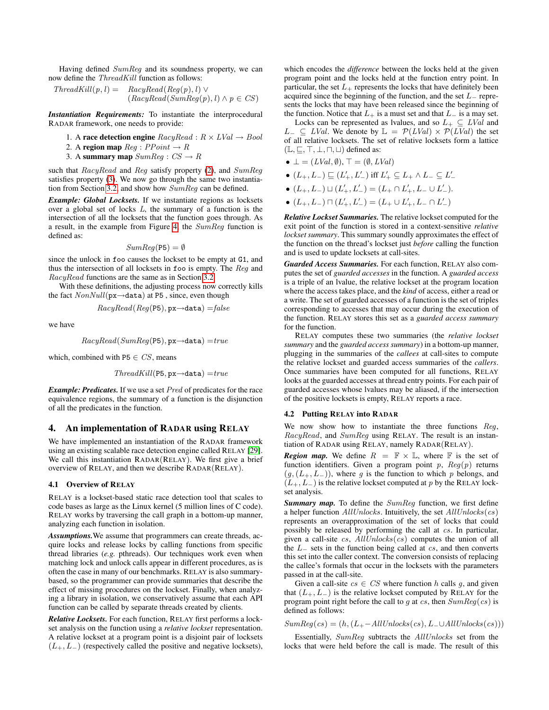Having defined SumReg and its soundness property, we can now define the ThreadKill function as follows:

$$
ThreadKill(p, l) = \quad RacyRead(Reg(p), l) \vee \n(RacyRead(SumReg(p), l) \wedge p \in CS)
$$

*Instantiation Requirements:* To instantiate the interprocedural RADAR framework, one needs to provide:

- 1. A race detection engine  $RacyRead: R \times LVal \rightarrow Bool$
- 2. A region map  $Req : PPoint \rightarrow R$
- 3. A summary map  $SumReg : CS \rightarrow R$

such that *RacyRead* and *Reg* satisfy property [\(2\)](#page-4-2), and *SumReg* satisfies property [\(3\)](#page-5-2). We now go through the same two instantiation from Section [3.2,](#page-4-0) and show how SumReg can be defined.

*Example: Global Locksets.* If we instantiate regions as locksets over a global set of locks L, the summary of a function is the intersection of all the locksets that the function goes through. As a result, in the example from Figure [4,](#page-5-1) the SumReg function is defined as:

$$
SumReg(\text{P5}) = \emptyset
$$

since the unlock in foo causes the lockset to be empty at G1, and thus the intersection of all locksets in foo is empty. The Reg and RacyRead functions are the same as in Section [3.2.](#page-4-0)

With these definitions, the adjusting process now correctly kills the fact  $NonNull(p \times \rightarrow data)$  at P5, since, even though

$$
RacyRead(Reg(\texttt{P5}),\texttt{px}\texttt{\rightarrow} \texttt{data}) = \textit{false}
$$

we have

$$
RacyRead(SumReg(\text{PS}),\text{px}\rightarrow\texttt{data}) = true
$$

which, combined with P5  $\in CS$ , means

$$
ThreadKill(\texttt{P5}, \texttt{px} \rightarrow \texttt{data}) = true
$$

*Example: Predicates.* If we use a set Pred of predicates for the race equivalence regions, the summary of a function is the disjunction of all the predicates in the function.

# <span id="page-6-0"></span>4. An implementation of RADAR using RELAY

We have implemented an instantiation of the RADAR framework using an existing scalable race detection engine called RELAY [\[29\]](#page-10-7). We call this instantiation RADAR(RELAY). We first give a brief overview of RELAY, and then we describe RADAR(RELAY).

### 4.1 Overview of RELAY

RELAY is a lockset-based static race detection tool that scales to code bases as large as the Linux kernel (5 million lines of C code). RELAY works by traversing the call graph in a bottom-up manner, analyzing each function in isolation.

*Assumptions.*We assume that programmers can create threads, acquire locks and release locks by calling functions from specific thread libraries (*e.g.* pthreads). Our techniques work even when matching lock and unlock calls appear in different procedures, as is often the case in many of our benchmarks. RELAY is also summarybased, so the programmer can provide summaries that describe the effect of missing procedures on the lockset. Finally, when analyzing a library in isolation, we conservatively assume that each API function can be called by separate threads created by clients.

*Relative Locksets.* For each function, RELAY first performs a lockset analysis on the function using a *relative lockset* representation. A relative lockset at a program point is a disjoint pair of locksets  $(L_{+}, L_{-})$  (respectively called the positive and negative locksets),

which encodes the *difference* between the locks held at the given program point and the locks held at the function entry point. In particular, the set  $L_{+}$  represents the locks that have definitely been acquired since the beginning of the function, and the set  $L_$  represents the locks that may have been released since the beginning of the function. Notice that  $L_+$  is a must set and that  $L_-\$  is a may set.

Locks can be represented as lvalues, and so  $L_+ \subseteq LVal$  and  $L_$  ⊆  $LVal$ . We denote by  $\mathbb{L} = \mathcal{P}(LVal) \times \mathcal{P}(LVal)$  the set of all relative locksets. The set of relative locksets form a lattice  $(L, \subseteq, \top, \bot, \sqcap, \sqcup)$  defined as:

- $\bot = (LVal, \emptyset), \top = (\emptyset, LVal)$
- $\bullet$   $(L_+, L_-) \sqsubseteq (L_+', L_-')$  iff  $L_+' \subseteq L_+ \wedge L_- \subseteq L_-'$
- $(L_+, L_-) \sqcup (L'_+, L'_-) = (L_+ \cap L'_+, L_- \cup L'_-).$
- $(L_+, L_-) \sqcap (L'_+, L'_-) = (L_+ \cup L'_+, L_- \cap L'_-)$

*Relative Lockset Summaries.* The relative lockset computed for the exit point of the function is stored in a context-sensitive *relative lockset summary*. This summary soundly approximates the effect of the function on the thread's lockset just *before* calling the function and is used to update locksets at call-sites.

*Guarded Access Summaries.* For each function, RELAY also computes the set of *guarded accesses* in the function. A *guarded access* is a triple of an lvalue, the relative lockset at the program location where the access takes place, and the *kind* of access, either a read or a write. The set of guarded accesses of a function is the set of triples corresponding to accesses that may occur during the execution of the function. RELAY stores this set as a *guarded access summary* for the function.

RELAY computes these two summaries (the *relative lockset summary* and the *guarded access summary*) in a bottom-up manner, plugging in the summaries of the *callees* at call-sites to compute the relative lockset and guarded access summaries of the *callers*. Once summaries have been computed for all functions, RELAY looks at the guarded accesses at thread entry points. For each pair of guarded accesses whose lvalues may be aliased, if the intersection of the positive locksets is empty, RELAY reports a race.

## 4.2 Putting RELAY into RADAR

We now show how to instantiate the three functions Req, RacyRead, and SumReg using RELAY. The result is an instantiation of RADAR using RELAY, namely RADAR(RELAY).

**Region map.** We define  $R = \mathbb{F} \times \mathbb{L}$ , where  $\mathbb{F}$  is the set of function identifiers. Given a program point  $p$ ,  $Reg(p)$  returns  $(g, (L_{+}, L_{-}))$ , where g is the function to which p belongs, and  $(L_{+}, L_{-})$  is the relative lockset computed at p by the RELAY lockset analysis.

**Summary map.** To define the SumReg function, we first define a helper function  $AllUnless$ . Intuitively, the set  $AllUnless$ represents an overapproximation of the set of locks that could possibly be released by performing the call at cs. In particular, given a call-site cs,  $AllUnless$  (cs) computes the union of all the  $L_$  sets in the function being called at  $cs$ , and then converts this set into the caller context. The conversion consists of replacing the callee's formals that occur in the locksets with the parameters passed in at the call-site.

Given a call-site  $cs \in CS$  where function h calls q, and given that  $(L_{+}, L_{-})$  is the relative lockset computed by RELAY for the program point right before the call to g at  $cs$ , then  $SumReg(cs)$  is defined as follows:

 $SumReg(cs) = (h, (L_{+}-AllUnless(cs), L_{-}UAllUnless(cs)))$ 

Essentially, SumReg subtracts the AllUnlocks set from the locks that were held before the call is made. The result of this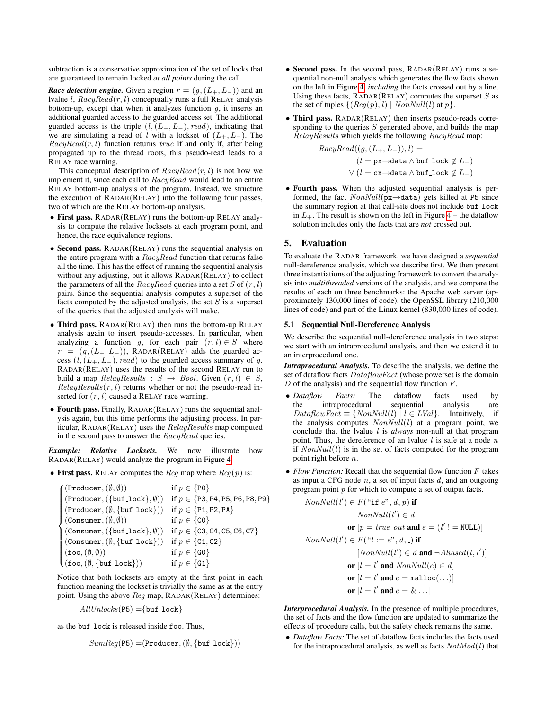subtraction is a conservative approximation of the set of locks that are guaranteed to remain locked *at all points* during the call.

*Race detection engine.* Given a region  $r = (g, (L_+, L_-))$  and an lvalue *l*,  $RacyRead(r, l)$  conceptually runs a full RELAY analysis bottom-up, except that when it analyzes function  $g$ , it inserts an additional guarded access to the guarded access set. The additional guarded access is the triple  $(l, (L_+, L_-), read)$ , indicating that we are simulating a read of l with a lockset of  $(L_{+}, L_{-})$ . The  $RacyRead(r, l)$  function returns true if and only if, after being propagated up to the thread roots, this pseudo-read leads to a RELAY race warning.

This conceptual description of  $RacyRead(r, l)$  is not how we implement it, since each call to RacyRead would lead to an entire RELAY bottom-up analysis of the program. Instead, we structure the execution of RADAR(RELAY) into the following four passes, two of which are the RELAY bottom-up analysis.

- First pass. RADAR(RELAY) runs the bottom-up RELAY analysis to compute the relative locksets at each program point, and hence, the race equivalence regions.
- Second pass. RADAR(RELAY) runs the sequential analysis on the entire program with a  $RacyRead$  function that returns false all the time. This has the effect of running the sequential analysis without any adjusting, but it allows RADAR(RELAY) to collect the parameters of all the  $RacyRead$  queries into a set S of  $(r, l)$ pairs. Since the sequential analysis computes a superset of the facts computed by the adjusted analysis, the set  $S$  is a superset of the queries that the adjusted analysis will make.
- Third pass. RADAR(RELAY) then runs the bottom-up RELAY analysis again to insert pseudo-accesses. In particular, when analyzing a function g, for each pair  $(r, l) \in S$  where  $r = (g,(L_+, L_-))$ , RADAR(RELAY) adds the guarded access  $(l, (L_+, L_-), read)$  to the guarded access summary of g. RADAR(RELAY) uses the results of the second RELAY run to build a map  $RelayResults : S \rightarrow Bool$ . Given  $(r, l) \in S$ ,  $RelayResults(r, l)$  returns whether or not the pseudo-read inserted for  $(r, l)$  caused a RELAY race warning.
- Fourth pass. Finally, RADAR(RELAY) runs the sequential analysis again, but this time performs the adjusting process. In particular, RADAR(RELAY) uses the RelayResults map computed in the second pass to answer the *RacyRead* queries.

*Example: Relative Locksets.* We now illustrate how RADAR(RELAY) would analyze the program in Figure [4.](#page-5-1)

• First pass. RELAY computes the Reg map where  $Reg(p)$  is:

$$
\begin{cases}\n(\text{Product}, (\emptyset, \emptyset)) & \text{if } p \in \{P0\} \\
(\text{Product}, (\{buf\_lock\}, \emptyset)) & \text{if } p \in \{P3, P4, P5, P6, P8, P9\} \\
(\text{Product}, (\emptyset, \{buf\_lock\})) & \text{if } p \in \{P1, P2, P4\} \\
(\text{Consumer}, (\emptyset, \emptyset)) & \text{if } p \in \{CO\} \\
(\text{Consumer}, (\{buf\_lock\}, \emptyset)) & \text{if } p \in \{C3, C4, C5, C6, C7\} \\
(\text{Consumer}, (\emptyset, \{buf\_lock\})) & \text{if } p \in \{C1, C2\} \\
(\text{foo}, (\emptyset, \emptyset)) & \text{if } p \in \{GO\} \\
(\text{foo}, (\emptyset, \{buf\_lock\})) & \text{if } p \in \{GO\}\n\end{cases}
$$

Notice that both locksets are empty at the first point in each function meaning the lockset is trivially the same as at the entry point. Using the above Reg map, RADAR(RELAY) determines:

$$
AllUnless(\text{P5}) = \{ \text{buf\_lock} \}
$$

as the buf lock is released inside foo. Thus,

$$
SumReg(\text{P5}) = (\text{Producter}, (\emptyset, \{\text{buf\_lock}\}))
$$

- Second pass. In the second pass, RADAR(RELAY) runs a sequential non-null analysis which generates the flow facts shown on the left in Figure [4,](#page-5-1) *including* the facts crossed out by a line. Using these facts,  $RADAR(RELAY)$  computes the superset S as the set of tuples  $\{(Reg(p), l) | NonNull(l) \text{ at } p\}.$
- Third pass. RADAR(RELAY) then inserts pseudo-reads corresponding to the queries  $S$  generated above, and builds the map RelayResults which yields the following RacyRead map:

 $RacyRead((g,(L_{+}, L_{-})), l) =$  $(l = \text{px} \rightarrow \text{data} \land \text{buf\_lock} \notin L_+)$  $∨ (l = cx \rightarrow data \wedge but \exists lock \notin L_{+})$ 

• Fourth pass. When the adjusted sequential analysis is performed, the fact  $NonNull(px \rightarrow data)$  gets killed at P5 since the summary region at that call-site does not include buf\_lock in  $L_{+}$ . The result is shown on the left in Figure [4](#page-5-1) – the dataflow solution includes only the facts that are *not* crossed out.

# <span id="page-7-0"></span>5. Evaluation

To evaluate the RADAR framework, we have designed a *sequential* null-dereference analysis, which we describe first. We then present three instantiations of the adjusting framework to convert the analysis into *multithreaded* versions of the analysis, and we compare the results of each on three benchmarks: the Apache web server (approximately 130,000 lines of code), the OpenSSL library (210,000 lines of code) and part of the Linux kernel (830,000 lines of code).

## 5.1 Sequential Null-Dereference Analysis

We describe the sequential null-dereference analysis in two steps: we start with an intraprocedural analysis, and then we extend it to an interprocedural one.

*Intraprocedural Analysis.* To describe the analysis, we define the set of dataflow facts  $DataflowFact$  (whose powerset is the domain  $D$  of the analysis) and the sequential flow function  $F$ .

- *Dataflow Facts:* The dataflow facts used by the intraprocedural sequential analysis are  $DataflowFact \equiv \{NonNull(l) | l \in LVal \}$ . Intuitively, if the analysis computes  $NonNull(l)$  at a program point, we conclude that the lvalue l is *always* non-null at that program point. Thus, the dereference of an Ivalue  $l$  is safe at a node  $n$ if  $NonNull(l)$  is in the set of facts computed for the program point right before n.
- *Flow Function:* Recall that the sequential flow function F takes as input a CFG node  $n$ , a set of input facts  $d$ , and an outgoing program point p for which to compute a set of output facts.

$$
NonNull(l') \in F("if e", d, p) \text{ if}
$$
\n
$$
NonNull(l') \in d
$$
\n
$$
\text{or } [p = true.out \text{ and } e = (l' ! = NULL)]
$$
\n
$$
NonNull(l') \in F("l := e", d, .) \text{ if}
$$
\n
$$
[NonNull(l') \in d \text{ and } \neg \text{Aliased}(l, l')]
$$
\n
$$
\text{or } [l = l' \text{ and } NonNull(e) \in d]
$$
\n
$$
\text{or } [l = l' \text{ and } e = \text{malloc}(...)]
$$
\n
$$
\text{or } [l = l' \text{ and } e = \& ...]
$$

*Interprocedural Analysis.* In the presence of multiple procedures, the set of facts and the flow function are updated to summarize the effects of procedure calls, but the safety check remains the same.

• *Dataflow Facts:* The set of dataflow facts includes the facts used for the intraprocedural analysis, as well as facts  $NotMod(l)$  that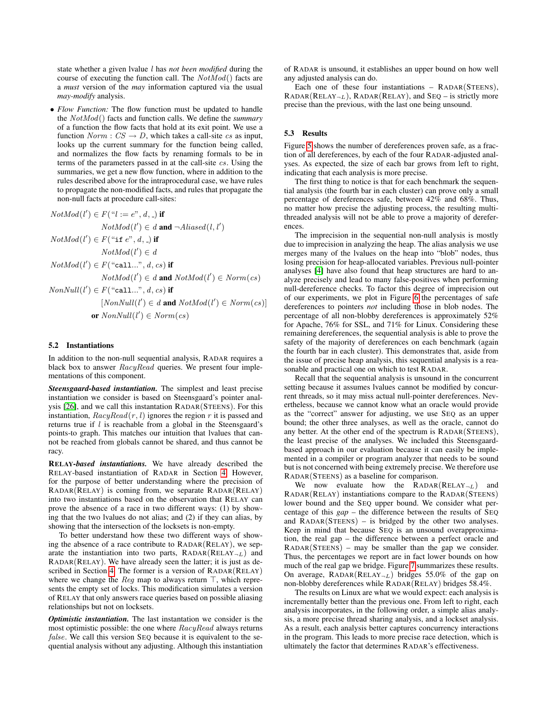state whether a given lvalue l has *not been modified* during the course of executing the function call. The  $NotMod()$  facts are a *must* version of the *may* information captured via the usual *may-modify* analysis.

• *Flow Function:* The flow function must be updated to handle the NotMod() facts and function calls. We define the *summary* of a function the flow facts that hold at its exit point. We use a function  $Norm : CS \rightarrow D$ , which takes a call-site cs as input, looks up the current summary for the function being called, and normalizes the flow facts by renaming formals to be in terms of the parameters passed in at the call-site cs. Using the summaries, we get a new flow function, where in addition to the rules described above for the intraprocedural case, we have rules to propagate the non-modified facts, and rules that propagate the non-null facts at procedure call-sites:

$$
NotMod(l') \in F("l := e", d, \_)
$$
 if

 $NotMod(l') \in d$  and  $\neg Aliased(l, l')$  $NotMod(l') \in F("if e", d, \_)$  if  $NotMod(l') \in d$  $NotMod(l') \in F("call...", d, cs)$  if  $NotMod(l') \in d$  and  $NotMod(l') \in Norm(cs)$  $NonNull(l') \in F("call...", d, cs)$  if  $[NonNull(l') \in d$  and  $NotMod(l') \in Norm(cs)]$ or  $NonNull(l') \in Norm(cs)$ 

# 5.2 Instantiations

In addition to the non-null sequential analysis, RADAR requires a black box to answer RacyRead queries. We present four implementations of this component.

*Steensgaard-based instantiation.* The simplest and least precise instantiation we consider is based on Steensgaard's pointer analysis [\[26\]](#page-10-11), and we call this instantation RADAR(STEENS). For this instantiation,  $RacyRead(r, l)$  ignores the region r it is passed and returns true if  $l$  is reachable from a global in the Steensgaard's points-to graph. This matches our intuition that lvalues that cannot be reached from globals cannot be shared, and thus cannot be racy.

RELAY*-based instantiations.* We have already described the RELAY-based instantiation of RADAR in Section [4.](#page-6-0) However, for the purpose of better understanding where the precision of RADAR(RELAY) is coming from, we separate RADAR(RELAY) into two instantiations based on the observation that RELAY can prove the absence of a race in two different ways: (1) by showing that the two lvalues do not alias; and (2) if they can alias, by showing that the intersection of the locksets is non-empty.

To better understand how these two different ways of showing the absence of a race contribute to RADAR(RELAY), we separate the instantiation into two parts,  $RADAR(RELAY<sub>-L</sub>)$  and RADAR(RELAY). We have already seen the latter; it is just as described in Section [4.](#page-6-0) The former is a version of RADAR(RELAY) where we change the Req map to always return  $\top$ , which represents the empty set of locks. This modification simulates a version of RELAY that only answers race queries based on possible aliasing relationships but not on locksets.

*Optimistic instantiation.* The last instantation we consider is the most optimistic possible: the one where RacyRead always returns false. We call this version SEQ because it is equivalent to the sequential analysis without any adjusting. Although this instantiation of RADAR is unsound, it establishes an upper bound on how well any adjusted analysis can do.

Each one of these four instantiations – RADAR(STEENS),  $RADAR(RELAY<sub>l</sub>)$ ,  $RADAR(RELAY)$ , and  $SEQ -$  is strictly more precise than the previous, with the last one being unsound.

## 5.3 Results

Figure [5](#page-9-1) shows the number of dereferences proven safe, as a fraction of all dereferences, by each of the four RADAR-adjusted analyses. As expected, the size of each bar grows from left to right, indicating that each analysis is more precise.

The first thing to notice is that for each benchmark the sequential analysis (the fourth bar in each cluster) can prove only a small percentage of dereferences safe, between 42% and 68%. Thus, no matter how precise the adjusting process, the resulting multithreaded analysis will not be able to prove a majority of dereferences.

The imprecision in the sequential non-null analysis is mostly due to imprecision in analyzing the heap. The alias analysis we use merges many of the lvalues on the heap into "blob" nodes, thus losing precision for heap-allocated variables. Previous null-pointer analyses [\[4\]](#page-10-12) have also found that heap structures are hard to analyze precisely and lead to many false-positives when performing null-dereference checks. To factor this degree of imprecision out of our experiments, we plot in Figure [6](#page-9-2) the percentages of safe dereferences to pointers *not* including those in blob nodes. The percentage of all non-blobby dereferences is approximately 52% for Apache, 76% for SSL, and 71% for Linux. Considering these remaining dereferences, the sequential analysis is able to prove the safety of the majority of dereferences on each benchmark (again the fourth bar in each cluster). This demonstrates that, aside from the issue of precise heap analysis, this sequential analysis is a reasonable and practical one on which to test RADAR.

Recall that the sequential analysis is unsound in the concurrent setting because it assumes lvalues cannot be modified by concurrent threads, so it may miss actual null-pointer dereferences. Nevertheless, because we cannot know what an oracle would provide as the "correct" answer for adjusting, we use SEQ as an upper bound; the other three analyses, as well as the oracle, cannot do any better. At the other end of the spectrum is RADAR(STEENS), the least precise of the analyses. We included this Steensgaardbased approach in our evaluation because it can easily be implemented in a compiler or program analyzer that needs to be sound but is not concerned with being extremely precise. We therefore use RADAR(STEENS) as a baseline for comparison.

We now evaluate how the  $RADAR(RELAY<sub>-L</sub>)$  and RADAR(RELAY) instantiations compare to the RADAR(STEENS) lower bound and the SEQ upper bound. We consider what percentage of this *gap* – the difference between the results of SEQ and  $RADAR(STEENS) - is bridged by the other two analyses.$ Keep in mind that because SEQ is an unsound overapproximation, the real gap – the difference between a perfect oracle and RADAR(STEENS) – may be smaller than the gap we consider. Thus, the percentages we report are in fact lower bounds on how much of the real gap we bridge. Figure [7](#page-9-3) summarizes these results. On average,  $RADAR(RELAY<sub>-L</sub>)$  bridges 55.0% of the gap on non-blobby dereferences while RADAR(RELAY) bridges 58.4%.

The results on Linux are what we would expect: each analysis is incrementally better than the previous one. From left to right, each analysis incorporates, in the following order, a simple alias analysis, a more precise thread sharing analysis, and a lockset analysis. As a result, each analysis better captures concurrency interactions in the program. This leads to more precise race detection, which is ultimately the factor that determines RADAR's effectiveness.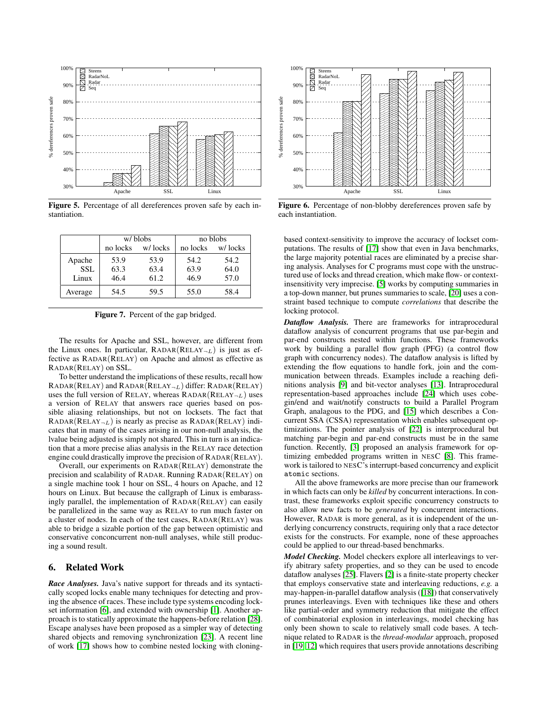

<span id="page-9-1"></span>Figure 5. Percentage of all dereferences proven safe by each instantiation.

|            | w/blobs  |         | no blobs |         |
|------------|----------|---------|----------|---------|
|            | no locks | w/locks | no locks | w/locks |
| Apache     | 53.9     | 53.9    | 54.2     | 54.2    |
| <b>SSL</b> | 63.3     | 63.4    | 63.9     | 64.0    |
| Linux      | 46.4     | 61.2    | 46.9     | 57.0    |
| Average    | 54.5     | 59.5    | 55.0     | 58.4    |

<span id="page-9-3"></span>Figure 7. Percent of the gap bridged.

The results for Apache and SSL, however, are different from the Linux ones. In particular,  $RADAR(RELAY<sub>-L</sub>)$  is just as effective as RADAR(RELAY) on Apache and almost as effective as RADAR(RELAY) on SSL.

To better understand the implications of these results, recall how  $RADAR(RELAY)$  and  $RADAR(RELAY<sub>l</sub>)$  differ:  $RADAR(RELAY)$ uses the full version of RELAY, whereas  $RADAR(RELAY<sub>-L</sub>)$  uses a version of RELAY that answers race queries based on possible aliasing relationships, but not on locksets. The fact that  $RADAR(RELAY<sub>-L</sub>)$  is nearly as precise as  $RADAR(RELAY)$  indicates that in many of the cases arising in our non-null analysis, the lvalue being adjusted is simply not shared. This in turn is an indication that a more precise alias analysis in the RELAY race detection engine could drastically improve the precision of RADAR(RELAY).

Overall, our experiments on RADAR(RELAY) demonstrate the precision and scalability of RADAR. Running RADAR(RELAY) on a single machine took 1 hour on SSL, 4 hours on Apache, and 12 hours on Linux. But because the callgraph of Linux is embarassingly parallel, the implementation of RADAR(RELAY) can easily be parallelized in the same way as RELAY to run much faster on a cluster of nodes. In each of the test cases, RADAR(RELAY) was able to bridge a sizable portion of the gap between optimistic and conservative conconcurrent non-null analyses, while still producing a sound result.

# <span id="page-9-0"></span>6. Related Work

*Race Analyses.* Java's native support for threads and its syntactically scoped locks enable many techniques for detecting and proving the absence of races. These include type systems encoding lockset information [\[6\]](#page-10-13), and extended with ownership [\[1\]](#page-10-14). Another approach is to statically approximate the happens-before relation [\[28\]](#page-10-15). Escape analyses have been proposed as a simpler way of detecting shared objects and removing synchronization [\[23\]](#page-10-0). A recent line of work [\[17\]](#page-10-16) shows how to combine nested locking with cloning-



<span id="page-9-2"></span>Figure 6. Percentage of non-blobby dereferences proven safe by each instantiation.

based context-sensitivity to improve the accuracy of lockset computations. The results of [\[17\]](#page-10-16) show that even in Java benchmarks, the large majority potential races are eliminated by a precise sharing analysis. Analyses for C programs must cope with the unstructured use of locks and thread creation, which make flow- or contextinsensitivity very imprecise. [\[5\]](#page-10-17) works by computing summaries in a top-down manner, but prunes summaries to scale, [\[20\]](#page-10-18) uses a constraint based technique to compute *correlations* that describe the locking protocol.

*Dataflow Analysis.* There are frameworks for intraprocedural dataflow analysis of concurrent programs that use par-begin and par-end constructs nested within functions. These frameworks work by building a parallel flow graph (PFG) (a control flow graph with concurrency nodes). The dataflow analysis is lifted by extending the flow equations to handle fork, join and the communication between threads. Examples include a reaching definitions analysis [\[9\]](#page-10-1) and bit-vector analyses [\[13\]](#page-10-2). Intraprocedural representation-based approaches include [\[24\]](#page-10-19) which uses cobegin/end and wait/notify constructs to build a Parallel Program Graph, analagous to the PDG, and [\[15\]](#page-10-20) which describes a Concurrent SSA (CSSA) representation which enables subsequent optimizations. The pointer analysis of [\[22\]](#page-10-3) is interprocedural but matching par-begin and par-end constructs must be in the same function. Recently, [\[3\]](#page-10-9) proposed an analysis framework for optimizing embedded programs written in NESC [\[8\]](#page-10-21). This framework is tailored to NESC's interrupt-based concurrency and explicit atomic sections.

All the above frameworks are more precise than our framework in which facts can only be *killed* by concurrent interactions. In contrast, these frameworks exploit specific concurrency constructs to also allow new facts to be *generated* by concurrent interactions. However, RADAR is more general, as it is independent of the underlying concurrency constructs, requiring only that a race detector exists for the constructs. For example, none of these approaches could be applied to our thread-based benchmarks.

*Model Checking.* Model checkers explore all interleavings to verify abitrary safety properties, and so they can be used to encode dataflow analyses [\[25\]](#page-10-22). Flavers [\[2\]](#page-10-4) is a finite-state property checker that employs conservative state and interleaving reductions, *e.g.* a may-happen-in-parallel dataflow analysis ([\[18\]](#page-10-23)) that conservatively prunes interleavings. Even with techniques like these and others like partial-order and symmetry reduction that mitigate the effect of combinatorial explosion in interleavings, model checking has only been shown to scale to relatively small code bases. A technique related to RADAR is the *thread-modular* approach, proposed in [\[19,](#page-10-24) [12\]](#page-10-25) which requires that users provide annotations describing